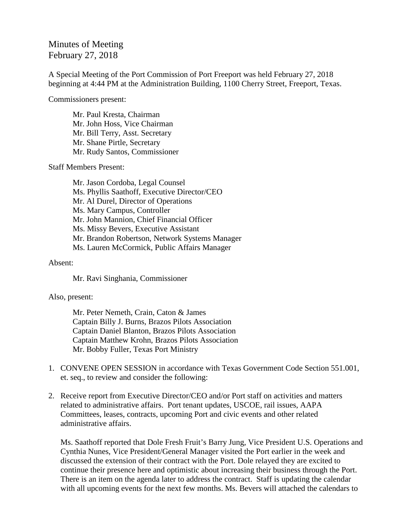## Minutes of Meeting February 27, 2018

A Special Meeting of the Port Commission of Port Freeport was held February 27, 2018 beginning at 4:44 PM at the Administration Building, 1100 Cherry Street, Freeport, Texas.

Commissioners present:

Mr. Paul Kresta, Chairman Mr. John Hoss, Vice Chairman Mr. Bill Terry, Asst. Secretary Mr. Shane Pirtle, Secretary Mr. Rudy Santos, Commissioner

Staff Members Present:

Mr. Jason Cordoba, Legal Counsel Ms. Phyllis Saathoff, Executive Director/CEO Mr. Al Durel, Director of Operations Ms. Mary Campus, Controller Mr. John Mannion, Chief Financial Officer Ms. Missy Bevers, Executive Assistant Mr. Brandon Robertson, Network Systems Manager Ms. Lauren McCormick, Public Affairs Manager

## Absent:

Mr. Ravi Singhania, Commissioner

## Also, present:

Mr. Peter Nemeth, Crain, Caton & James Captain Billy J. Burns, Brazos Pilots Association Captain Daniel Blanton, Brazos Pilots Association Captain Matthew Krohn, Brazos Pilots Association Mr. Bobby Fuller, Texas Port Ministry

- 1. CONVENE OPEN SESSION in accordance with Texas Government Code Section 551.001, et. seq., to review and consider the following:
- 2. Receive report from Executive Director/CEO and/or Port staff on activities and matters related to administrative affairs. Port tenant updates, USCOE, rail issues, AAPA Committees, leases, contracts, upcoming Port and civic events and other related administrative affairs.

Ms. Saathoff reported that Dole Fresh Fruit's Barry Jung, Vice President U.S. Operations and Cynthia Nunes, Vice President/General Manager visited the Port earlier in the week and discussed the extension of their contract with the Port. Dole relayed they are excited to continue their presence here and optimistic about increasing their business through the Port. There is an item on the agenda later to address the contract. Staff is updating the calendar with all upcoming events for the next few months. Ms. Bevers will attached the calendars to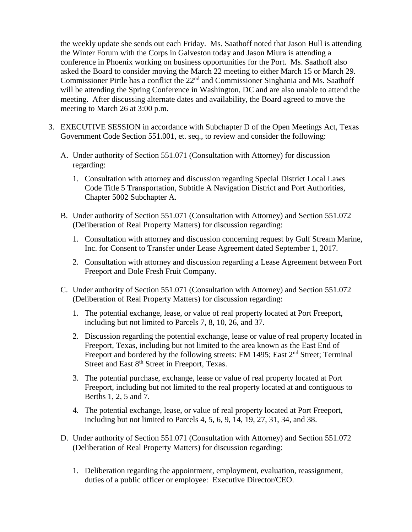the weekly update she sends out each Friday. Ms. Saathoff noted that Jason Hull is attending the Winter Forum with the Corps in Galveston today and Jason Miura is attending a conference in Phoenix working on business opportunities for the Port. Ms. Saathoff also asked the Board to consider moving the March 22 meeting to either March 15 or March 29. Commissioner Pirtle has a conflict the  $22<sup>nd</sup>$  and Commissioner Singhania and Ms. Saathoff will be attending the Spring Conference in Washington, DC and are also unable to attend the meeting. After discussing alternate dates and availability, the Board agreed to move the meeting to March 26 at 3:00 p.m.

- 3. EXECUTIVE SESSION in accordance with Subchapter D of the Open Meetings Act, Texas Government Code Section 551.001, et. seq., to review and consider the following:
	- A. Under authority of Section 551.071 (Consultation with Attorney) for discussion regarding:
		- 1. Consultation with attorney and discussion regarding Special District Local Laws Code Title 5 Transportation, Subtitle A Navigation District and Port Authorities, Chapter 5002 Subchapter A.
	- B. Under authority of Section 551.071 (Consultation with Attorney) and Section 551.072 (Deliberation of Real Property Matters) for discussion regarding:
		- 1. Consultation with attorney and discussion concerning request by Gulf Stream Marine, Inc. for Consent to Transfer under Lease Agreement dated September 1, 2017.
		- 2. Consultation with attorney and discussion regarding a Lease Agreement between Port Freeport and Dole Fresh Fruit Company.
	- C. Under authority of Section 551.071 (Consultation with Attorney) and Section 551.072 (Deliberation of Real Property Matters) for discussion regarding:
		- 1. The potential exchange, lease, or value of real property located at Port Freeport, including but not limited to Parcels 7, 8, 10, 26, and 37.
		- 2. Discussion regarding the potential exchange, lease or value of real property located in Freeport, Texas, including but not limited to the area known as the East End of Freeport and bordered by the following streets: FM 1495; East 2<sup>nd</sup> Street; Terminal Street and East 8<sup>th</sup> Street in Freeport, Texas.
		- 3. The potential purchase, exchange, lease or value of real property located at Port Freeport, including but not limited to the real property located at and contiguous to Berths 1, 2, 5 and 7.
		- 4. The potential exchange, lease, or value of real property located at Port Freeport, including but not limited to Parcels 4, 5, 6, 9, 14, 19, 27, 31, 34, and 38.
	- D. Under authority of Section 551.071 (Consultation with Attorney) and Section 551.072 (Deliberation of Real Property Matters) for discussion regarding:
		- 1. Deliberation regarding the appointment, employment, evaluation, reassignment, duties of a public officer or employee: Executive Director/CEO.